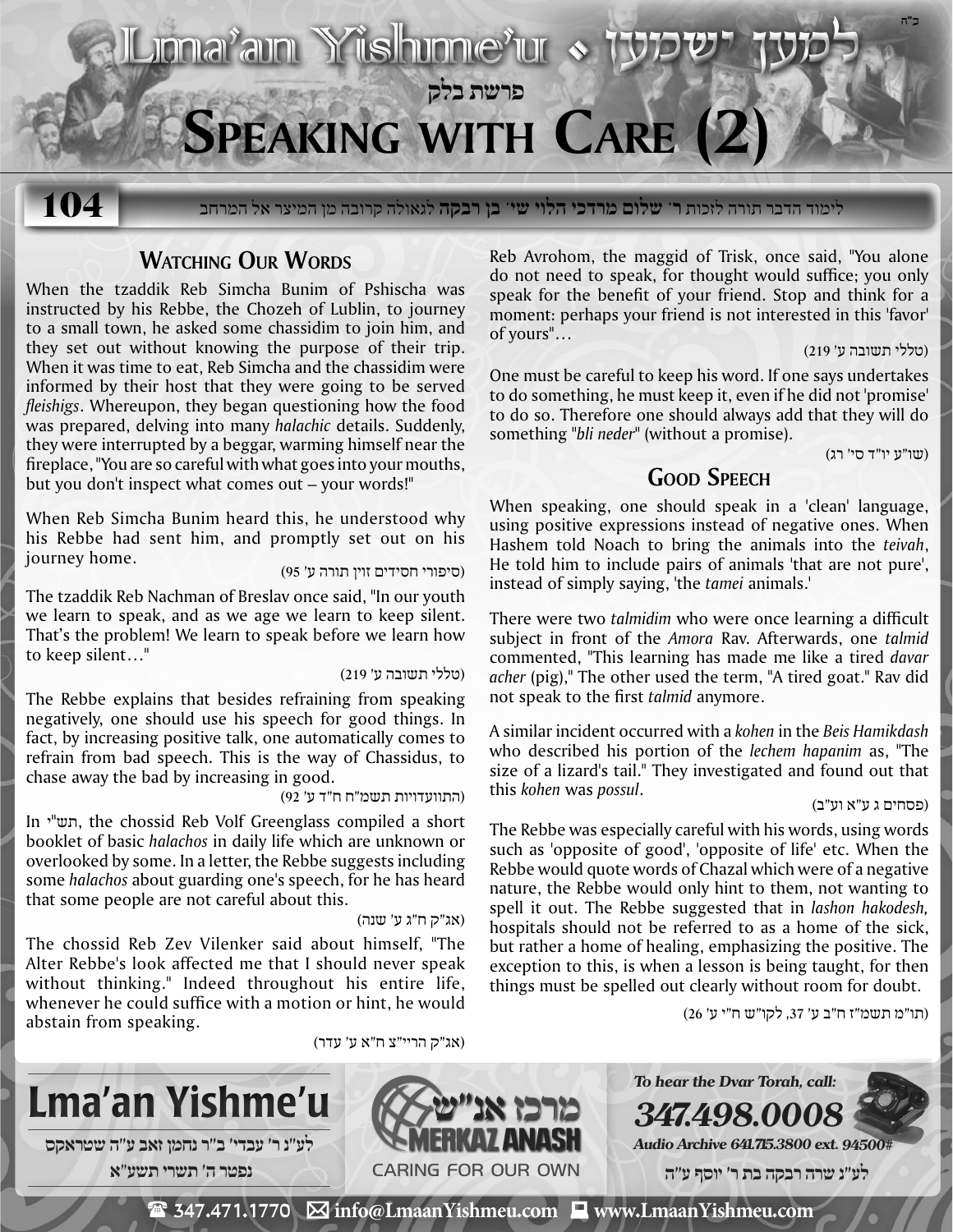

לימוד הדבר תורה לזכות **ר' שלום מרדכי הלוי שי' בן רבקה** לגאולה קרובה מן המיצר אל המרחב **104**

# **WATCHING OUR WORDS**

When the tzaddik Reb Simcha Bunim of Pshischa was instructed by his Rebbe, the Chozeh of Lublin, to journey to a small town, he asked some chassidim to join him, and they set out without knowing the purpose of their trip. When it was time to eat, Reb Simcha and the chassidim were informed by their host that they were going to be served *fleishigs*. Whereupon, they began questioning how the food was prepared, delving into many *halachic* details. Suddenly, they were interrupted by a beggar, warming himself near the fireplace, "You are so careful with what goes into your mouths, but you don't inspect what comes out – your words!"

When Reb Simcha Bunim heard this, he understood why his Rebbe had sent him, and promptly set out on his (סיפורי חסידים זוין תורה ע' 95) .home journey

The tzaddik Reb Nachman of Breslav once said, "In our youth we learn to speak, and as we age we learn to keep silent. That's the problem! We learn to speak before we learn how to keep silent…"

## (טללי תשובה ע' 219)

The Rebbe explains that besides refraining from speaking negatively, one should use his speech for good things. In fact, by increasing positive talk, one automatically comes to refrain from bad speech. This is the way of Chassidus, to chase away the bad by increasing in good.

## (התוועדויות תשמ"ח ח"ד ע' 92)

In י"תש, the chossid Reb Volf Greenglass compiled a short booklet of basic *halachos* in daily life which are unknown or overlooked by some. In a letter, the Rebbe suggests including some *halachos* about guarding one's speech, for he has heard that some people are not careful about this.

(אג"ק ח"ג ע' שנה)

(אג"ק הריי"צ ח"א ע' עדר)

The chossid Reb Zev Vilenker said about himself, "The Alter Rebbe's look affected me that I should never speak without thinking." Indeed throughout his entire life, whenever he could suffice with a motion or hint, he would abstain from speaking.

Reb Avrohom, the maggid of Trisk, once said, "You alone do not need to speak, for thought would suffice; you only speak for the benefit of your friend. Stop and think for a moment: perhaps your friend is not interested in this 'favor' of yours"…

(טללי תשובה ע' 219)

One must be careful to keep his word. If one says undertakes to do something, he must keep it, even if he did not 'promise' to do so. Therefore one should always add that they will do something *"bli neder"* (without a promise).

(שו"ע יו"ד סי' רג)

# **Good Speech**

When speaking, one should speak in a 'clean' language, using positive expressions instead of negative ones. When Hashem told Noach to bring the animals into the *teivah*, He told him to include pairs of animals 'that are not pure', instead of simply saying, 'the *tamei* animals.'

There were two *talmidim* who were once learning a difficult subject in front of the *Amora* Rav. Afterwards, one *talmid* commented, "This learning has made me like a tired *davar acher* (pig)," The other used the term, "A tired goat." Rav did not speak to the first *talmid* anymore.

A similar incident occurred with a *kohen* in the *Beis Hamikdash* who described his portion of the *lechem hapanim* as, "The size of a lizard's tail." They investigated and found out that (פסחים ג ע"א וע"ב) .*possul* was *kohen* this

The Rebbe was especially careful with his words, using words such as 'opposite of good', 'opposite of life' etc. When the Rebbe would quote words of Chazal which were of a negative nature, the Rebbe would only hint to them, not wanting to spell it out. The Rebbe suggested that in *lashon hakodesh,* hospitals should not be referred to as a home of the sick, but rather a home of healing, emphasizing the positive. The exception to this, is when a lesson is being taught, for then things must be spelled out clearly without room for doubt.

(תו"מ תשמ"ז ח"ב ע' ,37 לקו"ש ח"י ע' 26)